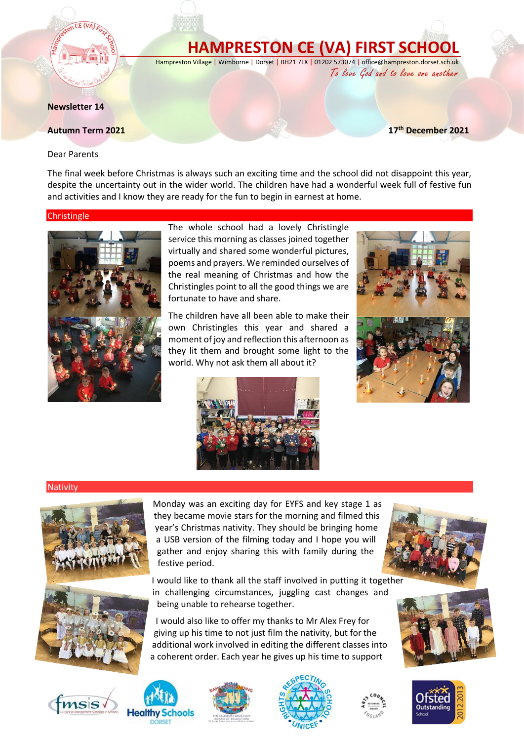# **HAMPRESTON CE (VA) FIRST SCHOOL**

Hampreston Village | Wimborne | Dorset | BH21 7LX | 01202 573074 | office@hampreston.dorset.sch.uk

To love God and to love one another

**th December 2021**

**Newsletter 14**

#### **Autumn Term 2021**

Dear Parents

The final week before Christmas is always such an exciting time and the school did not disappoint this year, despite the uncertainty out in the wider world. The children have had a wonderful week full of festive fun and activities and I know they are ready for the fun to begin in earnest at home.

#### **Christingle**



The whole school had a lovely Christingle service this morning as classes joined together virtually and shared some wonderful pictures, poems and prayers. We reminded ourselves of the real meaning of Christmas and how the Christingles point to all the good things we are fortunate to have and share.

The children have all been able to make their own Christingles this year and shared a moment of joy and reflection this afternoon as they lit them and brought some light to the world. Why not ask them all about it?





## **Nativity**



Monday was an exciting day for EYFS and key stage 1 as they became movie stars for the morning and filmed this year's Christmas nativity. They should be bringing home a USB version of the filming today and I hope you will gather and enjoy sharing this with family during the festive period.

I would like to thank all the staff involved in putting it together in challenging circumstances, juggling cast changes and being unable to rehearse together.

I would also like to offer my thanks to Mr Alex Frey for giving up his time to not just film the nativity, but for the additional work involved in editing the different classes into a coherent order. Each year he gives up his time to support











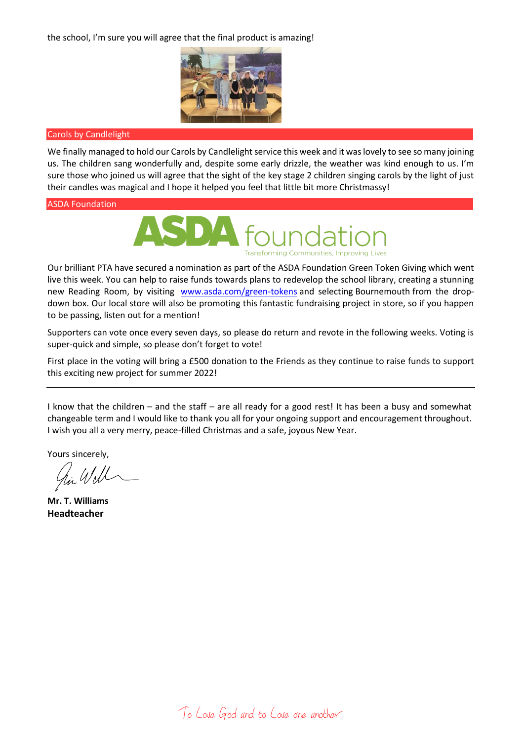the school, I'm sure you will agree that the final product is amazing!



# Carols by Candlelight

We finally managed to hold our Carols by Candlelight service this week and it was lovely to see so many joining us. The children sang wonderfully and, despite some early drizzle, the weather was kind enough to us. I'm sure those who joined us will agree that the sight of the key stage 2 children singing carols by the light of just their candles was magical and I hope it helped you feel that little bit more Christmassy!

## ASDA Foundation



Our brilliant PTA have secured a nomination as part of the ASDA Foundation Green Token Giving which went live this week. You can help to raise funds towards plans to redevelop the school library, creating a stunning new Reading Room, by visiting [www.asda.com/green-tokens](http://www.asda.com/green-tokens) and selecting Bournemouth from the dropdown box. Our local store will also be promoting this fantastic fundraising project in store, so if you happen to be passing, listen out for a mention!

Supporters can vote once every seven days, so please do return and revote in the following weeks. Voting is super-quick and simple, so please don't forget to vote!

First place in the voting will bring a £500 donation to the Friends as they continue to raise funds to support this exciting new project for summer 2022!

I know that the children – and the staff – are all ready for a good rest! It has been a busy and somewhat changeable term and I would like to thank you all for your ongoing support and encouragement throughout. I wish you all a very merry, peace-filled Christmas and a safe, joyous New Year.

Yours sincerely,

**Mr. T. Williams Headteacher**

To Love God and to Love one another